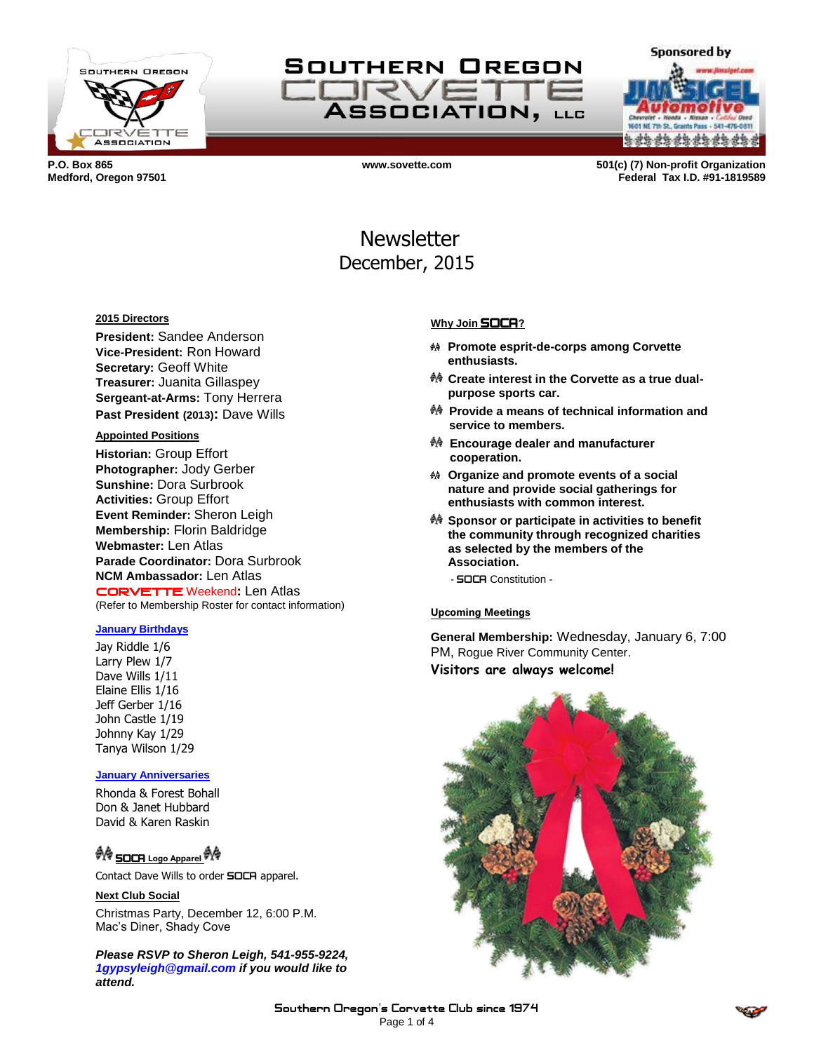



e da da da da da da d

**Sponsored by** 

**P.O. Box 865 www.sovette.com 501(c) (7) Non-profit Organization Medford, Oregon 97501 Federal Tax I.D. #91-1819589**

> **Newsletter** December, 2015

#### **2015 Directors**

**President:** Sandee Anderson **Vice-President:** Ron Howard **Secretary:** Geoff White **Treasurer:** Juanita Gillaspey **Sergeant-at-Arms:** Tony Herrera **Past President (2013):** Dave Wills

## **Appointed Positions**

**Historian:** Group Effort **Photographer:** Jody Gerber **Sunshine:** Dora Surbrook **Activities:** Group Effort **Event Reminder:** Sheron Leigh **Membership:** Florin Baldridge **Webmaster:** Len Atlas **Parade Coordinator:** Dora Surbrook **NCM Ambassador:** Len Atlas CORVETTE Weekend**:** Len Atlas (Refer to Membership Roster for contact information)

### **January Birthdays**

Jay Riddle 1/6 Larry Plew 1/7 Dave Wills 1/11 Elaine Ellis 1/16 Jeff Gerber 1/16 John Castle 1/19 Johnny Kay 1/29 Tanya Wilson 1/29

#### **January Anniversaries**

Rhonda & Forest Bohall Don & Janet Hubbard David & Karen Raskin

# **ী∜ SOCA Logo Apparel <sup>ঔ</sup>∖<sup>ঞ</sup>**

Contact Dave Wills to order **SOCA** apparel.

### **Next Club Social**

Christmas Party, December 12, 6:00 P.M. Mac's Diner, Shady Cove

*Please RSVP to Sheron Leigh, 541-955-9224, 1gypsyleigh@gmail.com if you would like to attend.*

#### **Why Join** SOCA**?**

- **Promote esprit-de-corps among Corvette enthusiasts.**
- **Create interest in the Corvette as a true dualpurpose sports car.**
- **Provide a means of technical information and service to members.**
- **Encourage dealer and manufacturer cooperation.**
- **Organize and promote events of a social nature and provide social gatherings for enthusiasts with common interest.**
- **Sponsor or participate in activities to benefit the community through recognized charities as selected by the members of the Association.**
	- SOCA Constitution -

#### **Upcoming Meetings**

**General Membership:** Wednesday, January 6, 7:00 PM, Rogue River Community Center. **Visitors are always welcome!**

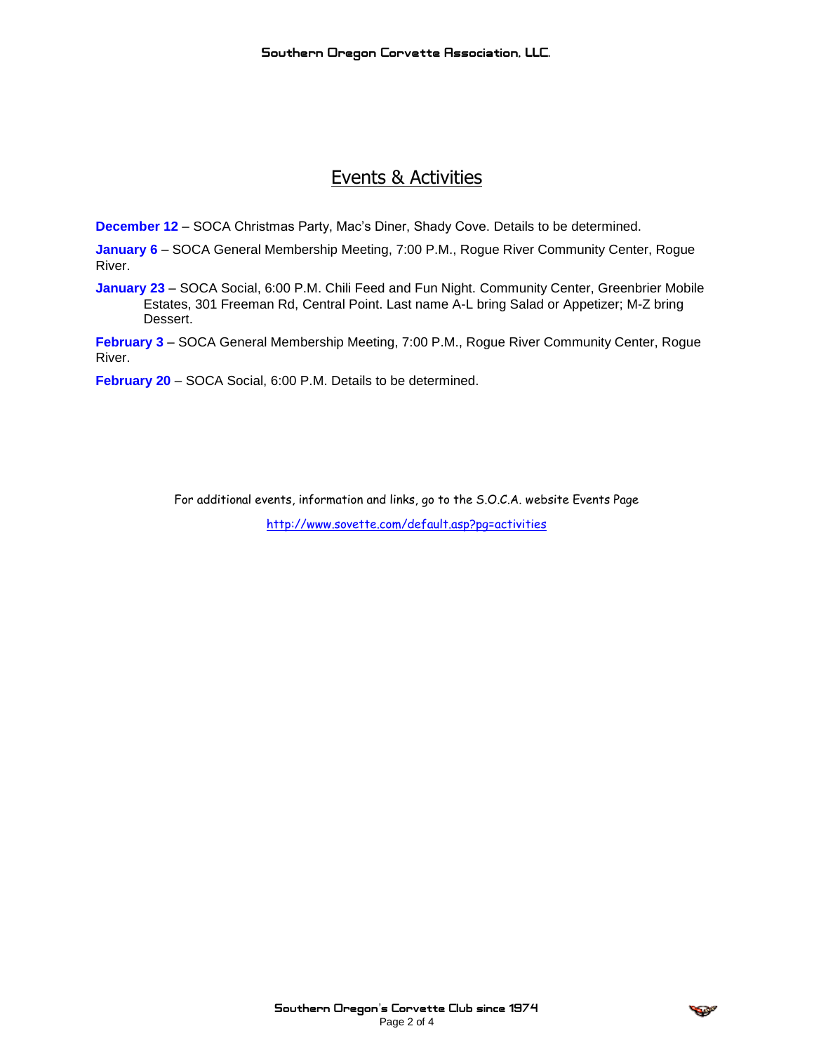# Events & Activities

**December 12** – SOCA Christmas Party, Mac's Diner, Shady Cove. Details to be determined.

January 6 - SOCA General Membership Meeting, 7:00 P.M., Rogue River Community Center, Rogue River.

**January 23** – SOCA Social, 6:00 P.M. Chili Feed and Fun Night. Community Center, Greenbrier Mobile Estates, 301 Freeman Rd, Central Point. Last name A-L bring Salad or Appetizer; M-Z bring Dessert.

**February 3** – SOCA General Membership Meeting, 7:00 P.M., Rogue River Community Center, Rogue River.

**February 20** – SOCA Social, 6:00 P.M. Details to be determined.

For additional events, information and links, go to the S.O.C.A. website Events Page

<http://www.sovette.com/default.asp?pg=activities>

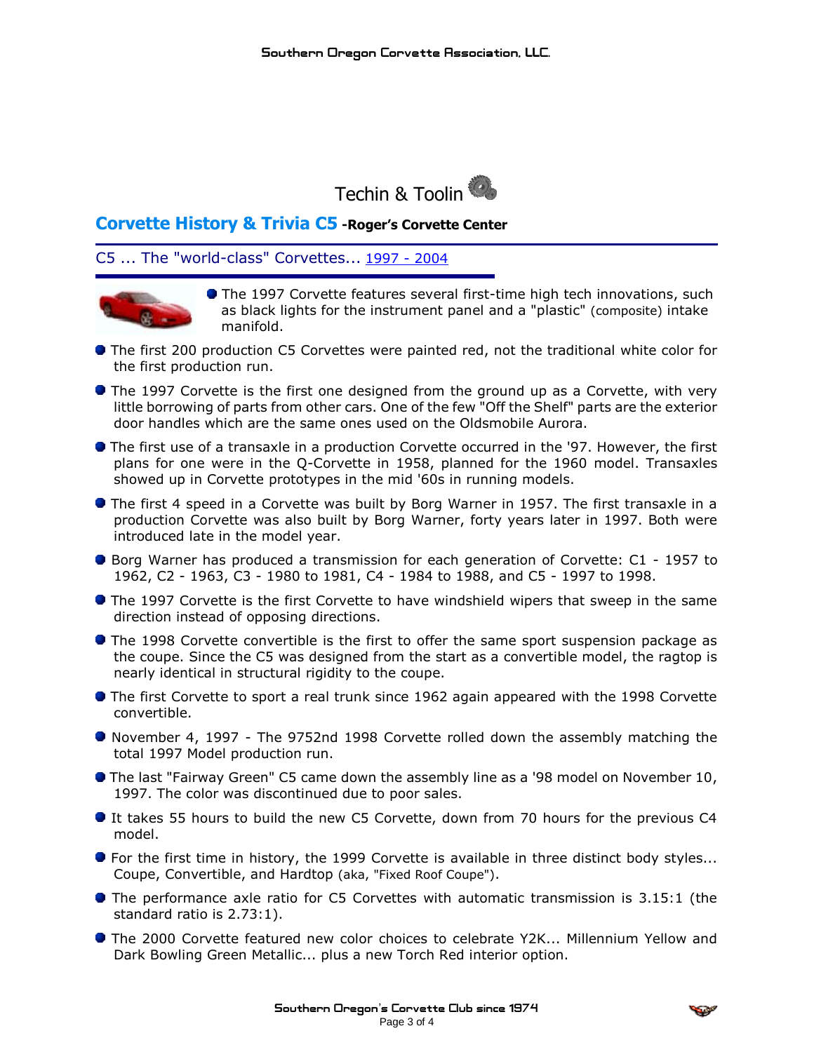

# **Corvette History & Trivia C5 -Roger's Corvette Center**

# C5 ... The "world-class" Corvettes... [1997](http://www.rogerscorvette.com/specs/97.htm) - [2004](http://www.rogerscorvette.com/specs/04.htm)



**The 1997 Corvette features several first-time high tech innovations, such** as black lights for the instrument panel and a "plastic" (composite) intake manifold.

- **The first 200 production C5 Corvettes were painted red, not the traditional white color for** the first production run.
- **•** The 1997 Corvette is the first one designed from the ground up as a Corvette, with very little borrowing of parts from other cars. One of the few "Off the Shelf" parts are the exterior door handles which are the same ones used on the Oldsmobile Aurora.
- The first use of a transaxle in a production Corvette occurred in the '97. However, the first plans for one were in the Q-Corvette in 1958, planned for the 1960 model. Transaxles showed up in Corvette prototypes in the mid '60s in running models.
- The first 4 speed in a Corvette was built by Borg Warner in 1957. The first transaxle in a production Corvette was also built by Borg Warner, forty years later in 1997. Both were introduced late in the model year.
- **Borg Warner has produced a transmission for each generation of Corvette: C1 1957 to** 1962, C2 - 1963, C3 - 1980 to 1981, C4 - 1984 to 1988, and C5 - 1997 to 1998.
- **The 1997 Corvette is the first Corvette to have windshield wipers that sweep in the same** direction instead of opposing directions.
- **The 1998 Corvette convertible is the first to offer the same sport suspension package as** the coupe. Since the C5 was designed from the start as a convertible model, the ragtop is nearly identical in structural rigidity to the coupe.
- **The first Corvette to sport a real trunk since 1962 again appeared with the 1998 Corvette** convertible.
- November 4, 1997 The 9752nd 1998 Corvette rolled down the assembly matching the total 1997 Model production run.
- **The last "Fairway Green" C5 came down the assembly line as a '98 model on November 10,** 1997. The color was discontinued due to poor sales.
- It takes 55 hours to build the new C5 Corvette, down from 70 hours for the previous C4 model.
- For the first time in history, the 1999 Corvette is available in three distinct body styles... Coupe, Convertible, and Hardtop (aka, "Fixed Roof Coupe").
- **•** The performance axle ratio for C5 Corvettes with automatic transmission is 3.15:1 (the standard ratio is 2.73:1).
- The 2000 Corvette featured new color choices to celebrate Y2K... Millennium Yellow and Dark Bowling Green Metallic... plus a new Torch Red interior option.